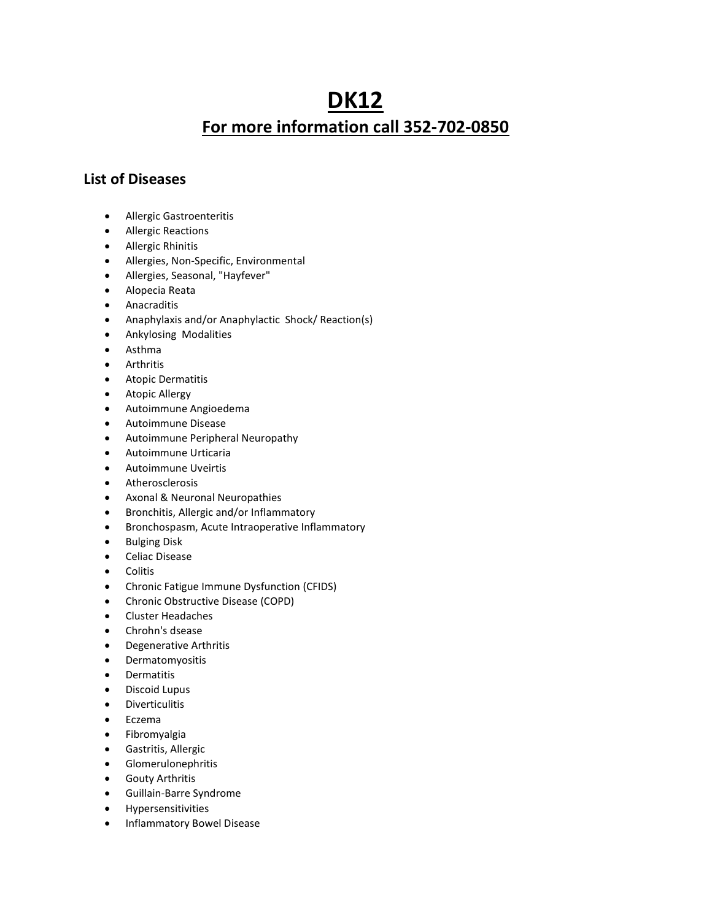## DK12 For more information call 352-702-0850

## List of Diseases

- Allergic Gastroenteritis
- Allergic Reactions
- Allergic Rhinitis
- Allergies, Non-Specific, Environmental
- Allergies, Seasonal, "Hayfever"
- Alopecia Reata
- Anacraditis
- Anaphylaxis and/or Anaphylactic Shock/ Reaction(s)
- Ankylosing Modalities
- Asthma
- Arthritis
- **•** Atopic Dermatitis
- Atopic Allergy
- Autoimmune Angioedema
- Autoimmune Disease
- Autoimmune Peripheral Neuropathy
- Autoimmune Urticaria
- Autoimmune Uveirtis
- Atherosclerosis
- Axonal & Neuronal Neuropathies
- Bronchitis, Allergic and/or Inflammatory
- Bronchospasm, Acute Intraoperative Inflammatory
- **•** Bulging Disk
- **•** Celiac Disease
- **•** Colitis
- Chronic Fatigue Immune Dysfunction (CFIDS)
- Chronic Obstructive Disease (COPD)
- Cluster Headaches
- Chrohn's dsease
- Degenerative Arthritis
- **•** Dermatomyositis
- **•** Dermatitis
- Discoid Lupus
- **•** Diverticulitis
- Eczema
- **•** Fibromyalgia
- Gastritis, Allergic
- **•** Glomerulonephritis
- Gouty Arthritis
- Guillain-Barre Syndrome
- **•** Hypersensitivities
- **•** Inflammatory Bowel Disease